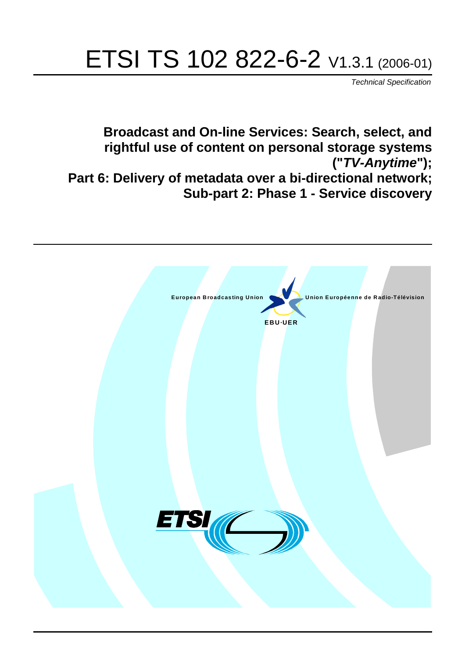# ETSI TS 102 822-6-2 V1.3.1 (2006-01)

Technical Specification

**Broadcast and On-line Services: Search, select, and rightful use of content on personal storage systems ("TV-Anytime"); Part 6: Delivery of metadata over a bi-directional network; Sub-part 2: Phase 1 - Service discovery**

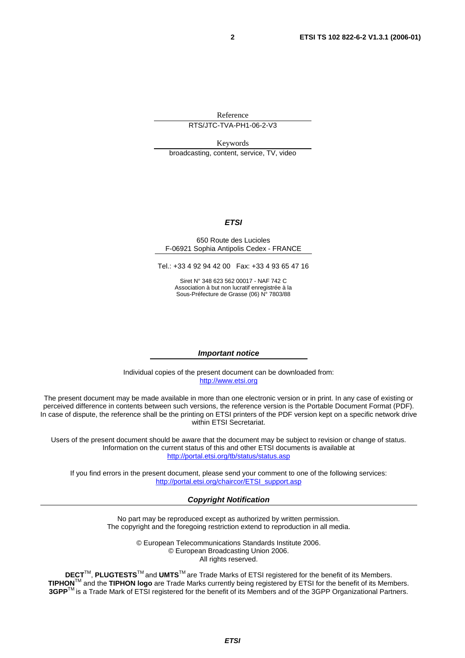Reference

RTS/JTC-TVA-PH1-06-2-V3

Keywords

broadcasting, content, service, TV, video

#### **ETSI**

#### 650 Route des Lucioles F-06921 Sophia Antipolis Cedex - FRANCE

Tel.: +33 4 92 94 42 00 Fax: +33 4 93 65 47 16

Siret N° 348 623 562 00017 - NAF 742 C Association à but non lucratif enregistrée à la Sous-Préfecture de Grasse (06) N° 7803/88

#### **Important notice**

Individual copies of the present document can be downloaded from: [http://www.etsi.org](http://www.etsi.org/)

The present document may be made available in more than one electronic version or in print. In any case of existing or perceived difference in contents between such versions, the reference version is the Portable Document Format (PDF). In case of dispute, the reference shall be the printing on ETSI printers of the PDF version kept on a specific network drive within ETSI Secretariat.

Users of the present document should be aware that the document may be subject to revision or change of status. Information on the current status of this and other ETSI documents is available at <http://portal.etsi.org/tb/status/status.asp>

If you find errors in the present document, please send your comment to one of the following services: [http://portal.etsi.org/chaircor/ETSI\\_support.asp](http://portal.etsi.org/chaircor/ETSI_support.asp)

#### **Copyright Notification**

No part may be reproduced except as authorized by written permission. The copyright and the foregoing restriction extend to reproduction in all media.

> © European Telecommunications Standards Institute 2006. © European Broadcasting Union 2006. All rights reserved.

**DECT**TM, **PLUGTESTS**TM and **UMTS**TM are Trade Marks of ETSI registered for the benefit of its Members. **TIPHON**TM and the **TIPHON logo** are Trade Marks currently being registered by ETSI for the benefit of its Members. **3GPP**TM is a Trade Mark of ETSI registered for the benefit of its Members and of the 3GPP Organizational Partners.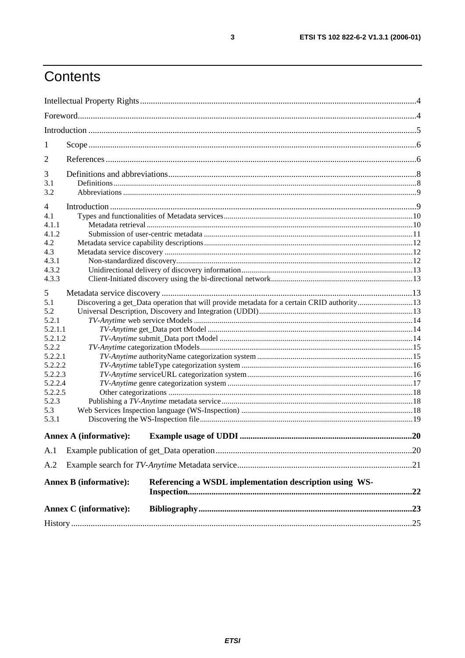# Contents

| 1            |                                                                                            |  |  |
|--------------|--------------------------------------------------------------------------------------------|--|--|
| 2            |                                                                                            |  |  |
| 3            |                                                                                            |  |  |
| 3.1          |                                                                                            |  |  |
| 3.2          |                                                                                            |  |  |
| 4            |                                                                                            |  |  |
| 4.1          |                                                                                            |  |  |
| 4.1.1        |                                                                                            |  |  |
| 4.1.2        |                                                                                            |  |  |
| 4.2          |                                                                                            |  |  |
| 4.3          |                                                                                            |  |  |
| 4.3.1        |                                                                                            |  |  |
| 4.3.2        |                                                                                            |  |  |
| 4.3.3        |                                                                                            |  |  |
| 5            |                                                                                            |  |  |
| 5.1          | Discovering a get_Data operation that will provide metadata for a certain CRID authority13 |  |  |
| 5.2          |                                                                                            |  |  |
| 5.2.1        |                                                                                            |  |  |
| 5.2.1.1      |                                                                                            |  |  |
|              | 5.2.1.2                                                                                    |  |  |
| 5.2.2        |                                                                                            |  |  |
| 5.2.2.1      |                                                                                            |  |  |
| 5.2.2.2      |                                                                                            |  |  |
| 5.2.2.3      |                                                                                            |  |  |
| 5.2.2.4      |                                                                                            |  |  |
| 5.2.2.5      |                                                                                            |  |  |
| 5.2.3        |                                                                                            |  |  |
| 5.3<br>5.3.1 |                                                                                            |  |  |
|              | <b>Annex A (informative):</b>                                                              |  |  |
|              |                                                                                            |  |  |
| A.1          |                                                                                            |  |  |
| A.2          |                                                                                            |  |  |
|              | Referencing a WSDL implementation description using WS-<br><b>Annex B</b> (informative):   |  |  |
|              | <b>Annex C</b> (informative):                                                              |  |  |
|              |                                                                                            |  |  |
|              |                                                                                            |  |  |

 $\mathbf{3}$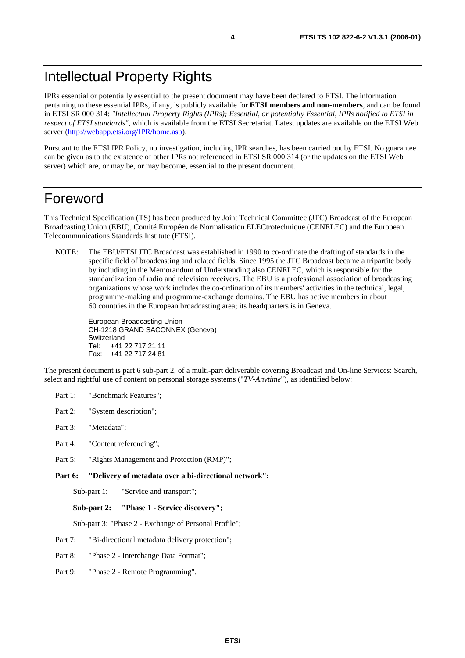IPRs essential or potentially essential to the present document may have been declared to ETSI. The information pertaining to these essential IPRs, if any, is publicly available for **ETSI members and non-members**, and can be found in ETSI SR 000 314: *"Intellectual Property Rights (IPRs); Essential, or potentially Essential, IPRs notified to ETSI in respect of ETSI standards"*, which is available from the ETSI Secretariat. Latest updates are available on the ETSI Web server [\(http://webapp.etsi.org/IPR/home.asp\)](http://webapp.etsi.org/IPR/home.asp).

Pursuant to the ETSI IPR Policy, no investigation, including IPR searches, has been carried out by ETSI. No guarantee can be given as to the existence of other IPRs not referenced in ETSI SR 000 314 (or the updates on the ETSI Web server) which are, or may be, or may become, essential to the present document.

## Foreword

This Technical Specification (TS) has been produced by Joint Technical Committee (JTC) Broadcast of the European Broadcasting Union (EBU), Comité Européen de Normalisation ELECtrotechnique (CENELEC) and the European Telecommunications Standards Institute (ETSI).

NOTE: The EBU/ETSI JTC Broadcast was established in 1990 to co-ordinate the drafting of standards in the specific field of broadcasting and related fields. Since 1995 the JTC Broadcast became a tripartite body by including in the Memorandum of Understanding also CENELEC, which is responsible for the standardization of radio and television receivers. The EBU is a professional association of broadcasting organizations whose work includes the co-ordination of its members' activities in the technical, legal, programme-making and programme-exchange domains. The EBU has active members in about 60 countries in the European broadcasting area; its headquarters is in Geneva.

European Broadcasting Union CH-1218 GRAND SACONNEX (Geneva) Switzerland Tel: +41 22 717 21 11 Fax: +41 22 717 24 81

The present document is part 6 sub-part 2, of a multi-part deliverable covering Broadcast and On-line Services: Search, select and rightful use of content on personal storage systems ("*TV-Anytime*"), as identified below:

- Part 1: "Benchmark Features";
- Part 2: "System description";
- Part 3: "Metadata";
- Part 4: "Content referencing":
- Part 5: "Rights Management and Protection (RMP)";
- **Part 6: "Delivery of metadata over a bi-directional network";**

Sub-part 1: "Service and transport";

**Sub-part 2: "Phase 1 - Service discovery";** 

Sub-part 3: "Phase 2 - Exchange of Personal Profile";

Part 7: "Bi-directional metadata delivery protection";

Part 8: "Phase 2 - Interchange Data Format";

Part 9: "Phase 2 - Remote Programming".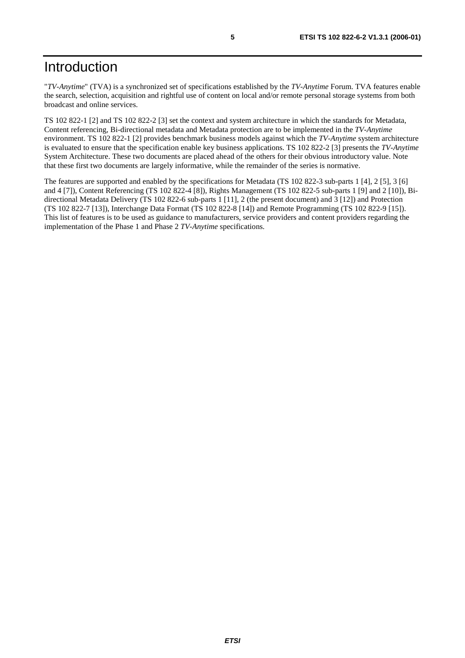"*TV-Anytime*" (TVA) is a synchronized set of specifications established by the *TV-Anytime* Forum. TVA features enable the search, selection, acquisition and rightful use of content on local and/or remote personal storage systems from both broadcast and online services.

TS 102 822-1 [2] and TS 102 822-2 [3] set the context and system architecture in which the standards for Metadata, Content referencing, Bi-directional metadata and Metadata protection are to be implemented in the *TV-Anytime* environment. TS 102 822-1 [2] provides benchmark business models against which the *TV-Anytime* system architecture is evaluated to ensure that the specification enable key business applications. TS 102 822-2 [3] presents the *TV-Anytime* System Architecture. These two documents are placed ahead of the others for their obvious introductory value. Note that these first two documents are largely informative, while the remainder of the series is normative.

The features are supported and enabled by the specifications for Metadata (TS 102 822-3 sub-parts 1 [4], 2 [5], 3 [6] and 4 [7]), Content Referencing (TS 102 822-4 [8]), Rights Management (TS 102 822-5 sub-parts 1 [9] and 2 [10]), Bidirectional Metadata Delivery (TS 102 822-6 sub-parts 1 [11], 2 (the present document) and 3 [12]) and Protection (TS 102 822-7 [13]), Interchange Data Format (TS 102 822-8 [14]) and Remote Programming (TS 102 822-9 [15]). This list of features is to be used as guidance to manufacturers, service providers and content providers regarding the implementation of the Phase 1 and Phase 2 *TV-Anytime* specifications.

**ETSI**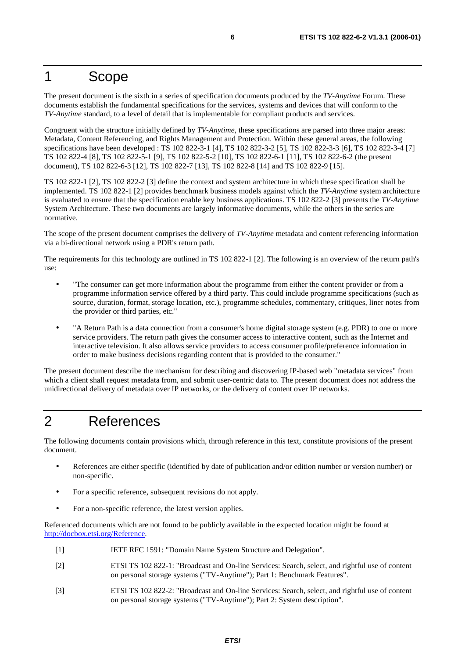### 1 Scope

The present document is the sixth in a series of specification documents produced by the *TV-Anytime* Forum. These documents establish the fundamental specifications for the services, systems and devices that will conform to the *TV-Anytime* standard, to a level of detail that is implementable for compliant products and services.

Congruent with the structure initially defined by *TV-Anytime*, these specifications are parsed into three major areas: Metadata, Content Referencing, and Rights Management and Protection. Within these general areas, the following specifications have been developed : TS 102 822-3-1 [4], TS 102 822-3-2 [5], TS 102 822-3-3 [6], TS 102 822-3-4 [7] TS 102 822-4 [8], TS 102 822-5-1 [9], TS 102 822-5-2 [10], TS 102 822-6-1 [11], TS 102 822-6-2 (the present document), TS 102 822-6-3 [12], TS 102 822-7 [13], TS 102 822-8 [14] and TS 102 822-9 [15].

TS 102 822-1 [2], TS 102 822-2 [3] define the context and system architecture in which these specification shall be implemented. TS 102 822-1 [2] provides benchmark business models against which the *TV-Anytime* system architecture is evaluated to ensure that the specification enable key business applications. TS 102 822-2 [3] presents the *TV-Anytime* System Architecture. These two documents are largely informative documents, while the others in the series are normative.

The scope of the present document comprises the delivery of *TV-Anytime* metadata and content referencing information via a bi-directional network using a PDR's return path.

The requirements for this technology are outlined in TS 102 822-1 [2]. The following is an overview of the return path's use:

- "The consumer can get more information about the programme from either the content provider or from a programme information service offered by a third party. This could include programme specifications (such as source, duration, format, storage location, etc.), programme schedules, commentary, critiques, liner notes from the provider or third parties, etc."
- "A Return Path is a data connection from a consumer's home digital storage system (e.g. PDR) to one or more service providers. The return path gives the consumer access to interactive content, such as the Internet and interactive television. It also allows service providers to access consumer profile/preference information in order to make business decisions regarding content that is provided to the consumer."

The present document describe the mechanism for describing and discovering IP-based web "metadata services" from which a client shall request metadata from, and submit user-centric data to. The present document does not address the unidirectional delivery of metadata over IP networks, or the delivery of content over IP networks.

# 2 References

The following documents contain provisions which, through reference in this text, constitute provisions of the present document.

- References are either specific (identified by date of publication and/or edition number or version number) or non-specific.
- For a specific reference, subsequent revisions do not apply.
- For a non-specific reference, the latest version applies.

Referenced documents which are not found to be publicly available in the expected location might be found at <http://docbox.etsi.org/Reference>.

- [1] IETF RFC 1591: "Domain Name System Structure and Delegation".
- [2] ETSI TS 102 822-1: "Broadcast and On-line Services: Search, select, and rightful use of content on personal storage systems ("TV-Anytime"); Part 1: Benchmark Features".
- [3] ETSI TS 102 822-2: "Broadcast and On-line Services: Search, select, and rightful use of content on personal storage systems ("TV-Anytime"); Part 2: System description".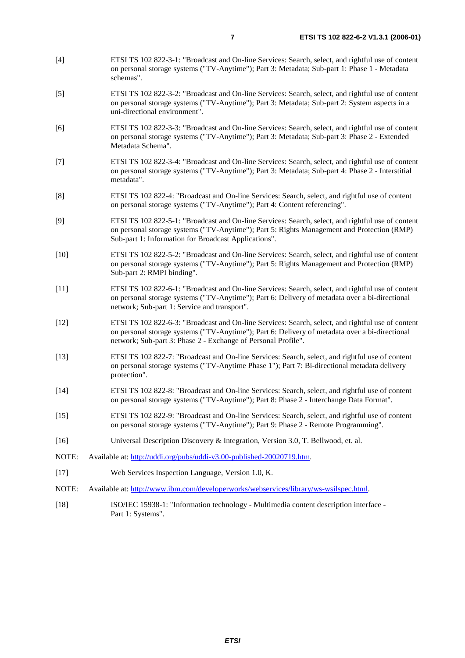- [4] ETSI TS 102 822-3-1: "Broadcast and On-line Services: Search, select, and rightful use of content on personal storage systems ("TV-Anytime"); Part 3: Metadata; Sub-part 1: Phase 1 - Metadata schemas".
- [5] ETSI TS 102 822-3-2: "Broadcast and On-line Services: Search, select, and rightful use of content on personal storage systems ("TV-Anytime"); Part 3: Metadata; Sub-part 2: System aspects in a uni-directional environment".
- [6] ETSI TS 102 822-3-3: "Broadcast and On-line Services: Search, select, and rightful use of content on personal storage systems ("TV-Anytime"); Part 3: Metadata; Sub-part 3: Phase 2 - Extended Metadata Schema".
- [7] ETSI TS 102 822-3-4: "Broadcast and On-line Services: Search, select, and rightful use of content on personal storage systems ("TV-Anytime"); Part 3: Metadata; Sub-part 4: Phase 2 - Interstitial metadata".
- [8] ETSI TS 102 822-4: "Broadcast and On-line Services: Search, select, and rightful use of content on personal storage systems ("TV-Anytime"); Part 4: Content referencing".
- [9] ETSI TS 102 822-5-1: "Broadcast and On-line Services: Search, select, and rightful use of content on personal storage systems ("TV-Anytime"); Part 5: Rights Management and Protection (RMP) Sub-part 1: Information for Broadcast Applications".
- [10] ETSI TS 102 822-5-2: "Broadcast and On-line Services: Search, select, and rightful use of content on personal storage systems ("TV-Anytime"); Part 5: Rights Management and Protection (RMP) Sub-part 2: RMPI binding".
- [11] ETSI TS 102 822-6-1: "Broadcast and On-line Services: Search, select, and rightful use of content on personal storage systems ("TV-Anytime"); Part 6: Delivery of metadata over a bi-directional network; Sub-part 1: Service and transport".
- [12] ETSI TS 102 822-6-3: "Broadcast and On-line Services: Search, select, and rightful use of content on personal storage systems ("TV-Anytime"); Part 6: Delivery of metadata over a bi-directional network; Sub-part 3: Phase 2 - Exchange of Personal Profile".
- [13] ETSI TS 102 822-7: "Broadcast and On-line Services: Search, select, and rightful use of content on personal storage systems ("TV-Anytime Phase 1"); Part 7: Bi-directional metadata delivery protection".
- [14] ETSI TS 102 822-8: "Broadcast and On-line Services: Search, select, and rightful use of content on personal storage systems ("TV-Anytime"); Part 8: Phase 2 - Interchange Data Format".
- [15] ETSI TS 102 822-9: "Broadcast and On-line Services: Search, select, and rightful use of content on personal storage systems ("TV-Anytime"); Part 9: Phase 2 - Remote Programming".
- [16] Universal Description Discovery & Integration, Version 3.0, T. Bellwood, et. al.
- NOTE: Available at: [http://uddi.org/pubs/uddi-v3.00-published-20020719.htm.](http://uddi.org/pubs/uddi-v3.00-published-20020719.htm)
- [17] Web Services Inspection Language, Version 1.0, K.
- NOTE: Available at: [http://www.ibm.com/developerworks/webservices/library/ws-wsilspec.html.](http://www.ibm.com/developerworks/webservices/library/ws-wsilspec.html)
- [18] ISO/IEC 15938-1: "Information technology Multimedia content description interface Part 1: Systems".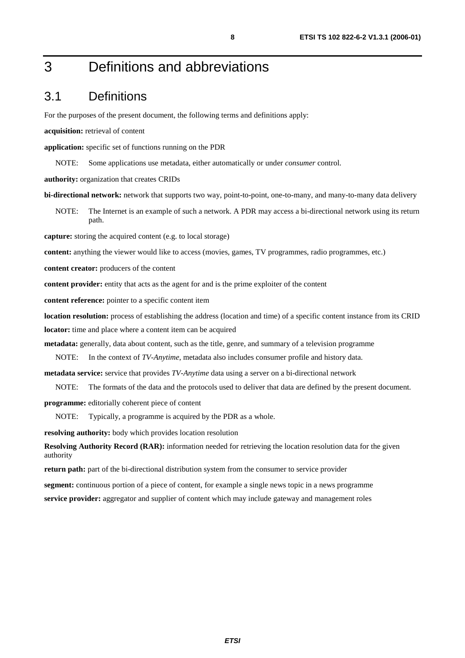# 3 Definitions and abbreviations

### 3.1 Definitions

For the purposes of the present document, the following terms and definitions apply:

**acquisition:** retrieval of content

**application:** specific set of functions running on the PDR

NOTE: Some applications use metadata, either automatically or under *consumer* control.

**authority:** organization that creates CRIDs

**bi-directional network:** network that supports two way, point-to-point, one-to-many, and many-to-many data delivery

NOTE: The Internet is an example of such a network. A PDR may access a bi-directional network using its return path.

**capture:** storing the acquired content (e.g. to local storage)

**content:** anything the viewer would like to access (movies, games, TV programmes, radio programmes, etc.)

**content creator:** producers of the content

**content provider:** entity that acts as the agent for and is the prime exploiter of the content

**content reference:** pointer to a specific content item

**location resolution:** process of establishing the address (location and time) of a specific content instance from its CRID **locator:** time and place where a content item can be acquired

**metadata:** generally, data about content, such as the title, genre, and summary of a television programme

NOTE: In the context of *TV-Anytime*, metadata also includes consumer profile and history data.

**metadata service:** service that provides *TV-Anytime* data using a server on a bi-directional network

NOTE: The formats of the data and the protocols used to deliver that data are defined by the present document.

**programme:** editorially coherent piece of content

NOTE: Typically, a programme is acquired by the PDR as a whole.

**resolving authority:** body which provides location resolution

**Resolving Authority Record (RAR):** information needed for retrieving the location resolution data for the given authority

**return path:** part of the bi-directional distribution system from the consumer to service provider

**segment:** continuous portion of a piece of content, for example a single news topic in a news programme **service provider:** aggregator and supplier of content which may include gateway and management roles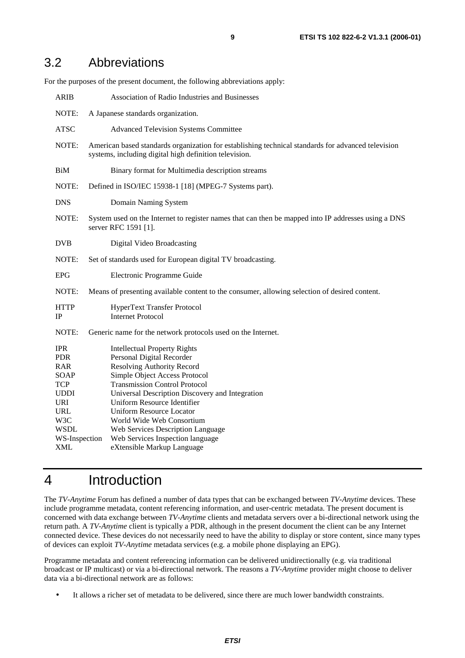### 3.2 Abbreviations

For the purposes of the present document, the following abbreviations apply:

| <b>Association of Radio Industries and Businesses</b>                                                                                                                                                                                                                                                                                                                                                                                                    |  |  |
|----------------------------------------------------------------------------------------------------------------------------------------------------------------------------------------------------------------------------------------------------------------------------------------------------------------------------------------------------------------------------------------------------------------------------------------------------------|--|--|
| A Japanese standards organization.                                                                                                                                                                                                                                                                                                                                                                                                                       |  |  |
| <b>Advanced Television Systems Committee</b>                                                                                                                                                                                                                                                                                                                                                                                                             |  |  |
| American based standards organization for establishing technical standards for advanced television<br>systems, including digital high definition television.                                                                                                                                                                                                                                                                                             |  |  |
| Binary format for Multimedia description streams                                                                                                                                                                                                                                                                                                                                                                                                         |  |  |
| NOTE:<br>Defined in ISO/IEC 15938-1 [18] (MPEG-7 Systems part).                                                                                                                                                                                                                                                                                                                                                                                          |  |  |
| Domain Naming System                                                                                                                                                                                                                                                                                                                                                                                                                                     |  |  |
| NOTE:<br>System used on the Internet to register names that can then be mapped into IP addresses using a DNS<br>server RFC 1591 [1].                                                                                                                                                                                                                                                                                                                     |  |  |
| Digital Video Broadcasting                                                                                                                                                                                                                                                                                                                                                                                                                               |  |  |
| NOTE:<br>Set of standards used for European digital TV broadcasting.                                                                                                                                                                                                                                                                                                                                                                                     |  |  |
| Electronic Programme Guide                                                                                                                                                                                                                                                                                                                                                                                                                               |  |  |
| Means of presenting available content to the consumer, allowing selection of desired content.                                                                                                                                                                                                                                                                                                                                                            |  |  |
| HyperText Transfer Protocol<br><b>Internet Protocol</b>                                                                                                                                                                                                                                                                                                                                                                                                  |  |  |
| NOTE:<br>Generic name for the network protocols used on the Internet.                                                                                                                                                                                                                                                                                                                                                                                    |  |  |
| <b>Intellectual Property Rights</b><br>Personal Digital Recorder<br><b>Resolving Authority Record</b><br>Simple Object Access Protocol<br><b>Transmission Control Protocol</b><br>Universal Description Discovery and Integration<br>Uniform Resource Identifier<br><b>Uniform Resource Locator</b><br>World Wide Web Consortium<br>Web Services Description Language<br>WS-Inspection<br>Web Services Inspection language<br>eXtensible Markup Language |  |  |
|                                                                                                                                                                                                                                                                                                                                                                                                                                                          |  |  |

# 4 Introduction

The *TV-Anytime* Forum has defined a number of data types that can be exchanged between *TV-Anytime* devices. These include programme metadata, content referencing information, and user-centric metadata. The present document is concerned with data exchange between *TV-Anytime* clients and metadata servers over a bi-directional network using the return path. A *TV-Anytime* client is typically a PDR, although in the present document the client can be any Internet connected device. These devices do not necessarily need to have the ability to display or store content, since many types of devices can exploit *TV-Anytime* metadata services (e.g. a mobile phone displaying an EPG).

Programme metadata and content referencing information can be delivered unidirectionally (e.g. via traditional broadcast or IP multicast) or via a bi-directional network. The reasons a *TV-Anytime* provider might choose to deliver data via a bi-directional network are as follows:

It allows a richer set of metadata to be delivered, since there are much lower bandwidth constraints.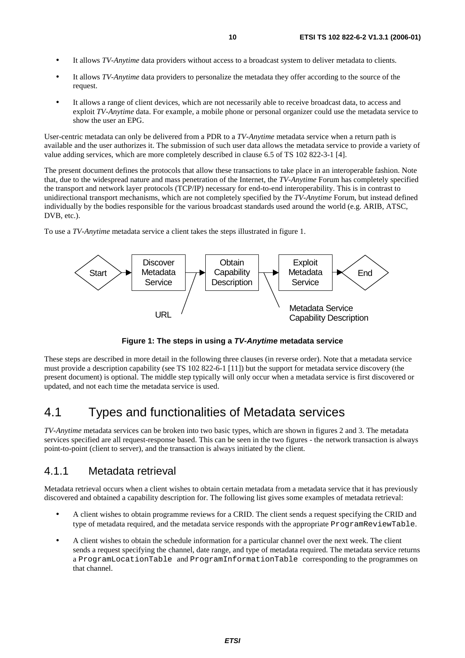- It allows *TV-Anytime* data providers without access to a broadcast system to deliver metadata to clients.
- It allows *TV-Anytime* data providers to personalize the metadata they offer according to the source of the request.
- It allows a range of client devices, which are not necessarily able to receive broadcast data, to access and exploit *TV-Anytime* data. For example, a mobile phone or personal organizer could use the metadata service to show the user an EPG.

User-centric metadata can only be delivered from a PDR to a *TV-Anytime* metadata service when a return path is available and the user authorizes it. The submission of such user data allows the metadata service to provide a variety of value adding services, which are more completely described in clause 6.5 of TS 102 822-3-1 [4].

The present document defines the protocols that allow these transactions to take place in an interoperable fashion. Note that, due to the widespread nature and mass penetration of the Internet, the *TV-Anytime* Forum has completely specified the transport and network layer protocols (TCP/IP) necessary for end-to-end interoperability. This is in contrast to unidirectional transport mechanisms, which are not completely specified by the *TV-Anytime* Forum, but instead defined individually by the bodies responsible for the various broadcast standards used around the world (e.g. ARIB, ATSC, DVB, etc.).

To use a *TV-Anytime* metadata service a client takes the steps illustrated in figure 1.



**Figure 1: The steps in using a TV-Anytime metadata service** 

These steps are described in more detail in the following three clauses (in reverse order). Note that a metadata service must provide a description capability (see TS 102 822-6-1 [11]) but the support for metadata service discovery (the present document) is optional. The middle step typically will only occur when a metadata service is first discovered or updated, and not each time the metadata service is used.

### 4.1 Types and functionalities of Metadata services

*TV-Anytime* metadata services can be broken into two basic types, which are shown in figures 2 and 3. The metadata services specified are all request-response based. This can be seen in the two figures - the network transaction is always point-to-point (client to server), and the transaction is always initiated by the client.

### 4.1.1 Metadata retrieval

Metadata retrieval occurs when a client wishes to obtain certain metadata from a metadata service that it has previously discovered and obtained a capability description for. The following list gives some examples of metadata retrieval:

- A client wishes to obtain programme reviews for a CRID. The client sends a request specifying the CRID and type of metadata required, and the metadata service responds with the appropriate ProgramReviewTable.
- A client wishes to obtain the schedule information for a particular channel over the next week. The client sends a request specifying the channel, date range, and type of metadata required. The metadata service returns a ProgramLocationTable and ProgramInformationTable corresponding to the programmes on that channel.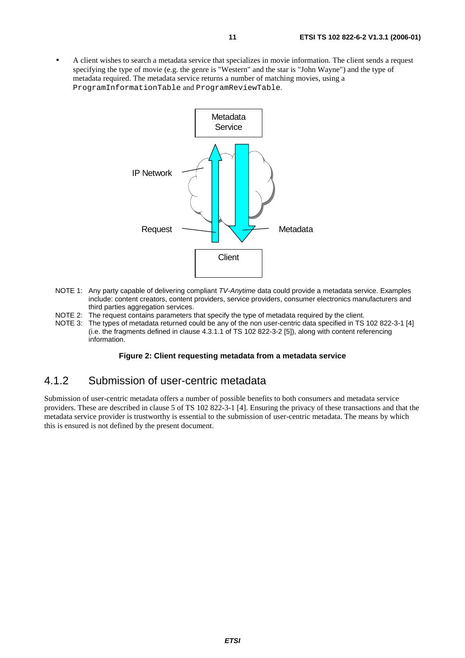• A client wishes to search a metadata service that specializes in movie information. The client sends a request specifying the type of movie (e.g. the genre is "Western" and the star is "John Wayne") and the type of metadata required. The metadata service returns a number of matching movies, using a ProgramInformationTable and ProgramReviewTable.



- NOTE 1: Any party capable of delivering compliant TV-Anytime data could provide a metadata service. Examples include: content creators, content providers, service providers, consumer electronics manufacturers and third parties aggregation services.
- NOTE 2: The request contains parameters that specify the type of metadata required by the client.
- NOTE 3: The types of metadata returned could be any of the non user-centric data specified in TS 102 822-3-1 [4] (i.e. the fragments defined in clause 4.3.1.1 of TS 102 822-3-2 [5]), along with content referencing information.

#### **Figure 2: Client requesting metadata from a metadata service**

### 4.1.2 Submission of user-centric metadata

Submission of user-centric metadata offers a number of possible benefits to both consumers and metadata service providers. These are described in clause 5 of TS 102 822-3-1 [4]. Ensuring the privacy of these transactions and that the metadata service provider is trustworthy is essential to the submission of user-centric metadata. The means by which this is ensured is not defined by the present document.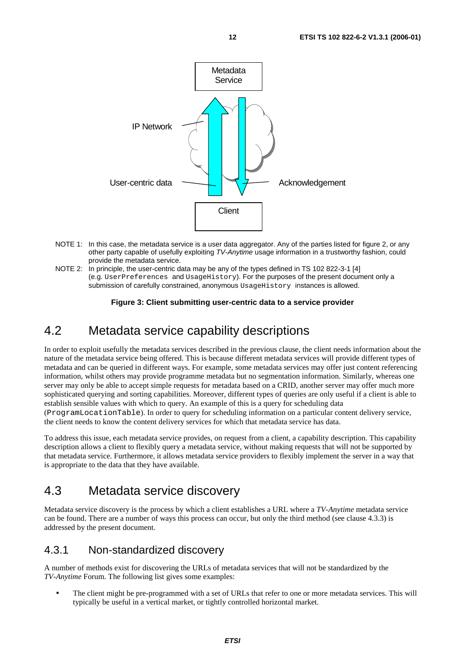

- NOTE 1: In this case, the metadata service is a user data aggregator. Any of the parties listed for figure 2, or any other party capable of usefully exploiting TV-Anytime usage information in a trustworthy fashion, could provide the metadata service.
- NOTE 2: In principle, the user-centric data may be any of the types defined in TS 102 822-3-1 [4] (e.g. UserPreferences and UsageHistory). For the purposes of the present document only a submission of carefully constrained, anonymous UsageHistory instances is allowed.

#### **Figure 3: Client submitting user-centric data to a service provider**

### 4.2 Metadata service capability descriptions

In order to exploit usefully the metadata services described in the previous clause, the client needs information about the nature of the metadata service being offered. This is because different metadata services will provide different types of metadata and can be queried in different ways. For example, some metadata services may offer just content referencing information, whilst others may provide programme metadata but no segmentation information. Similarly, whereas one server may only be able to accept simple requests for metadata based on a CRID, another server may offer much more sophisticated querying and sorting capabilities. Moreover, different types of queries are only useful if a client is able to establish sensible values with which to query. An example of this is a query for scheduling data (ProgramLocationTable). In order to query for scheduling information on a particular content delivery service, the client needs to know the content delivery services for which that metadata service has data.

To address this issue, each metadata service provides, on request from a client, a capability description. This capability description allows a client to flexibly query a metadata service, without making requests that will not be supported by that metadata service. Furthermore, it allows metadata service providers to flexibly implement the server in a way that is appropriate to the data that they have available.

### 4.3 Metadata service discovery

Metadata service discovery is the process by which a client establishes a URL where a *TV-Anytime* metadata service can be found. There are a number of ways this process can occur, but only the third method (see clause 4.3.3) is addressed by the present document.

### 4.3.1 Non-standardized discovery

A number of methods exist for discovering the URLs of metadata services that will not be standardized by the *TV-Anytime* Forum. The following list gives some examples:

• The client might be pre-programmed with a set of URLs that refer to one or more metadata services. This will typically be useful in a vertical market, or tightly controlled horizontal market.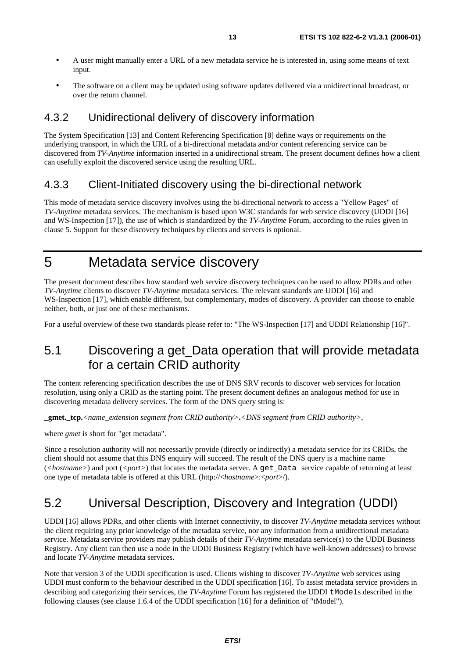- A user might manually enter a URL of a new metadata service he is interested in, using some means of text input.
- The software on a client may be updated using software updates delivered via a unidirectional broadcast, or over the return channel.

### 4.3.2 Unidirectional delivery of discovery information

The System Specification [13] and Content Referencing Specification [8] define ways or requirements on the underlying transport, in which the URL of a bi-directional metadata and/or content referencing service can be discovered from *TV-Anytime* information inserted in a unidirectional stream. The present document defines how a client can usefully exploit the discovered service using the resulting URL.

#### 4.3.3 Client-Initiated discovery using the bi-directional network

This mode of metadata service discovery involves using the bi-directional network to access a "Yellow Pages" of *TV-Anytime* metadata services. The mechanism is based upon W3C standards for web service discovery (UDDI [16] and WS-Inspection [17]), the use of which is standardized by the *TV-Anytime* Forum, according to the rules given in clause 5. Support for these discovery techniques by clients and servers is optional.

### 5 Metadata service discovery

The present document describes how standard web service discovery techniques can be used to allow PDRs and other *TV-Anytime* clients to discover *TV-Anytime* metadata services. The relevant standards are UDDI [16] and WS-Inspection [17], which enable different, but complementary, modes of discovery. A provider can choose to enable neither, both, or just one of these mechanisms.

For a useful overview of these two standards please refer to: "The WS-Inspection [17] and UDDI Relationship [16]".

### 5.1 Discovering a get\_Data operation that will provide metadata for a certain CRID authority

The content referencing specification describes the use of DNS SRV records to discover web services for location resolution, using only a CRID as the starting point. The present document defines an analogous method for use in discovering metadata delivery services. The form of the DNS query string is:

**\_gmet.\_tcp.***<name\_extension segment from CRID authority>***.***<DNS segment from CRID authority>*,

where *gmet* is short for "get metadata".

Since a resolution authority will not necessarily provide (directly or indirectly) a metadata service for its CRIDs, the client should not assume that this DNS enquiry will succeed. The result of the DNS query is a machine name (*<hostname>*) and port (*<port>*) that locates the metadata server. A get*\_*Data service capable of returning at least one type of metadata table is offered at this URL (http://<*hostname*>:<*port*>/).

### 5.2 Universal Description, Discovery and Integration (UDDI)

UDDI [16] allows PDRs, and other clients with Internet connectivity, to discover *TV-Anytime* metadata services without the client requiring any prior knowledge of the metadata service, nor any information from a unidirectional metadata service. Metadata service providers may publish details of their *TV-Anytime* metadata service(s) to the UDDI Business Registry. Any client can then use a node in the UDDI Business Registry (which have well-known addresses) to browse and locate *TV-Anytime* metadata services.

Note that version 3 of the UDDI specification is used. Clients wishing to discover *TV-Anytime* web services using UDDI must conform to the behaviour described in the UDDI specification [16]. To assist metadata service providers in describing and categorizing their services, the *TV-Anytime* Forum has registered the UDDI tModels described in the following clauses (see clause 1.6.4 of the UDDI specification [16] for a definition of "tModel").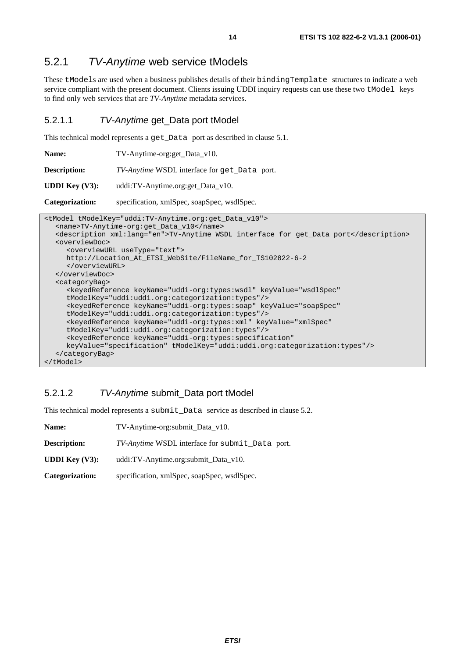### 5.2.1 TV-Anytime web service tModels

These tModels are used when a business publishes details of their bindingTemplate structures to indicate a web service compliant with the present document. Clients issuing UDDI inquiry requests can use these two tModel keys to find only web services that are *TV-Anytime* metadata services.

#### 5.2.1.1 TV-Anytime get\_Data port tModel

This technical model represents a get Data port as described in clause 5.1.

| <b>Name:</b> | TV-Anytime-org:get_Data_v10. |
|--------------|------------------------------|
|--------------|------------------------------|

**Description:** *TV-Anytime* WSDL interface for get\_Data port.

**UDDI Key (V3):** uddi:TV-Anytime.org:get Data\_v10.

**Categorization:** specification, xmlSpec, soapSpec, wsdlSpec.

```
<tModel tModelKey="uddi:TV-Anytime.org:get_Data_v10"> 
  <name>TV-Anytime-org:get_Data_v10</name> 
  <description xml:lang="en">TV-Anytime WSDL interface for get_Data port</description> 
  <overviewDoc> 
      <overviewURL useType="text"> 
      http://Location_At_ETSI_WebSite/FileName_for_TS102822-6-2 
      </overviewURL> 
   </overviewDoc> 
  <categoryBag> 
      <keyedReference keyName="uddi-org:types:wsdl" keyValue="wsdlSpec" 
      tModelKey="uddi:uddi.org:categorization:types"/> 
      <keyedReference keyName="uddi-org:types:soap" keyValue="soapSpec" 
      tModelKey="uddi:uddi.org:categorization:types"/> 
      <keyedReference keyName="uddi-org:types:xml" keyValue="xmlSpec" 
      tModelKey="uddi:uddi.org:categorization:types"/> 
      <keyedReference keyName="uddi-org:types:specification" 
      keyValue="specification" tModelKey="uddi:uddi.org:categorization:types"/> 
  </categoryBag> 
</tModel>
```
### 5.2.1.2 TV-Anytime submit\_Data port tModel

This technical model represents a submit\_Data service as described in clause 5.2.

| <b>Name:</b>                       | TV-Anytime-org: submit_Data_v10.                |
|------------------------------------|-------------------------------------------------|
| <b>Description:</b>                | TV-Anytime WSDL interface for submit_Data port. |
| <b>UDDI Key <math>(V3)</math>:</b> | uddi:TV-Anytime.org:submit_Data_v10.            |
| <b>Categorization:</b>             | specification, xmlSpec, soapSpec, wsdlSpec.     |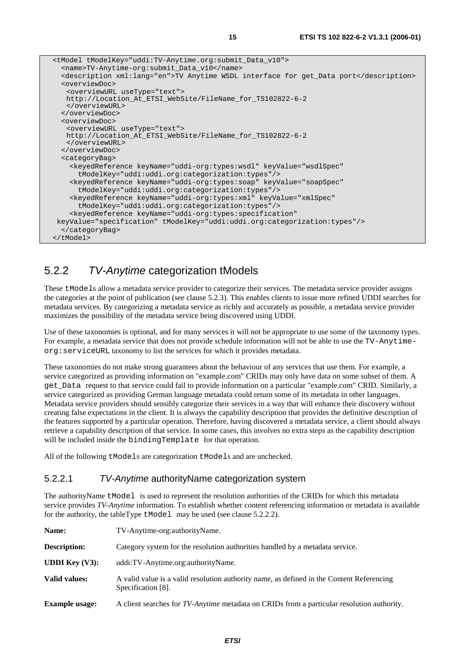| <tmodel tmodelkey="uddi:TV-Anytime.org:submit_Data_v10"></tmodel>                              |
|------------------------------------------------------------------------------------------------|
| <name>TV-Anytime-org:submit_Data_v10</name>                                                    |
| <description xml:lang="en">TV Anytime WSDL interface for get_Data port</description>           |
| <overviewdoc></overviewdoc>                                                                    |
| <overviewurl usetype="text"></overviewurl>                                                     |
| http://Location At ETSI WebSite/FileName for TS102822-6-2                                      |
|                                                                                                |
|                                                                                                |
| <overviewdoc></overviewdoc>                                                                    |
| <overviewurl usetype="text"></overviewurl>                                                     |
| http://Location_At_ETSI_WebSite/FileName_for_TS102822-6-2<br>                                  |
|                                                                                                |
| <categorybag></categorybag>                                                                    |
| <keyedreference <="" keyname="uddi-org:types:wsdl" keyvalue="wsdlSpec" td=""></keyedreference> |
| tModelKey="uddi:uddi.org:categorization:types"/>                                               |
| <keyedreference <="" keyname="uddi-org:types:soap" keyvalue="soapSpec" td=""></keyedreference> |
| tModelKey="uddi:uddi.org:categorization:types"/>                                               |
| <keyedreference <="" keyname="uddi-org:types:xml" keyvalue="xmlSpec" td=""></keyedreference>   |
| tModelKey="uddi:uddi.org:categorization:types"/>                                               |
|                                                                                                |
| <keyedreference <="" keyname="uddi-org:types:specification" td=""></keyedreference>            |
| keyValue="specification" tModelKey="uddi:uddi.org:categorization:types"/>                      |
|                                                                                                |
|                                                                                                |

### 5.2.2 TV-Anytime categorization tModels

These tModels allow a metadata service provider to categorize their services. The metadata service provider assigns the categories at the point of publication (see clause 5.2.3). This enables clients to issue more refined UDDI searches for metadata services. By categorizing a metadata service as richly and accurately as possible, a metadata service provider maximizes the possibility of the metadata service being discovered using UDDI.

Use of these taxonomies is optional, and for many services it will not be appropriate to use some of the taxonomy types. For example, a metadata service that does not provide schedule information will not be able to use the TV-Anytimeorg:serviceURL taxonomy to list the services for which it provides metadata.

These taxonomies do not make strong guarantees about the behaviour of any services that use them. For example, a service categorized as providing information on "example.com" CRIDs may only have data on some subset of them. A get*\_*Data request to that service could fail to provide information on a particular "example.com" CRID. Similarly, a service categorized as providing German language metadata could return some of its metadata in other languages. Metadata service providers should sensibly categorize their services in a way that will enhance their discovery without creating false expectations in the client. It is always the capability description that provides the definitive description of the features supported by a particular operation. Therefore, having discovered a metadata service, a client should always retrieve a capability description of that service. In some cases, this involves no extra steps as the capability description will be included inside the bindingTemplate for that operation.

All of the following tModels are categorization tModels and are unchecked.

#### 5.2.2.1 TV-Anytime authorityName categorization system

The authorityName tModel is used to represent the resolution authorities of the CRIDs for which this metadata service provides *TV-Anytime* information. To establish whether content referencing information or metadata is available for the authority, the tableType  $t$ Model may be used (see clause 5.2.2.2).

| Name:                    | TV-Anytime-org:authorityName.                                                                                   |
|--------------------------|-----------------------------------------------------------------------------------------------------------------|
| <b>Description:</b>      | Category system for the resolution authorities handled by a metadata service.                                   |
| <b>UDDI</b> Key $(V3)$ : | uddi:TV-Anytime.org:authorityName.                                                                              |
| <b>Valid values:</b>     | A valid value is a valid resolution authority name, as defined in the Content Referencing<br>Specification [8]. |
| <b>Example usage:</b>    | A client searches for <i>TV-Anytime</i> metadata on CRIDs from a particular resolution authority.               |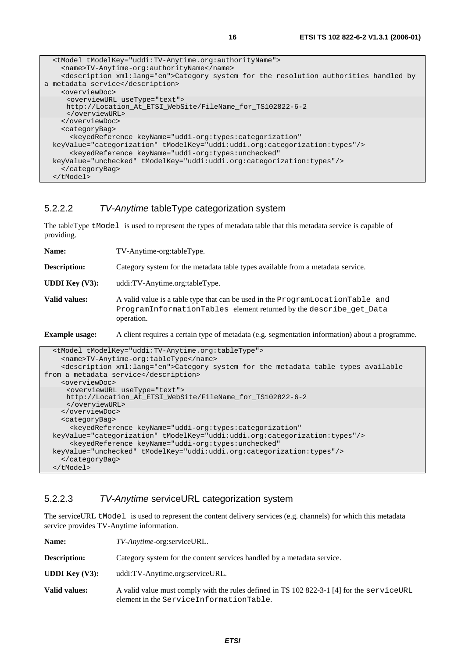| <tmodel tmodelkey="uddi:TV-Anytime.org:authorityName"></tmodel>                                               |
|---------------------------------------------------------------------------------------------------------------|
| <name>TV-Anytime-org:authorityName</name>                                                                     |
| <description xml:lang="en">Category system for the resolution authorities handled by</description>            |
| a metadata service<br><overviewdoc></overviewdoc>                                                             |
| <overviewurl usetype="text"><br/>http://Location At ETSI WebSite/FileName for TS102822-6-2<br/></overviewurl> |
|                                                                                                               |
| <categorybag></categorybag>                                                                                   |
| <keyedreference <="" keyname="uddi-org:types:categorization" td=""></keyedreference>                          |
| keyValue="categorization" tModelKey="uddi:uddi.org:categorization:types"/>                                    |
| <keyedreference <="" keyname="uddi-org:types:unchecked" td=""></keyedreference>                               |
| keyValue="unchecked" tModelKey="uddi:uddi.org:categorization:types"/>                                         |
|                                                                                                               |
| $\langle$ /tModel>                                                                                            |

#### 5.2.2.2 TV-Anytime tableType categorization system

The tableType tModel is used to represent the types of metadata table that this metadata service is capable of providing.

| Name:                    | TV-Anytime-org:tableType.                                                                                                                                          |
|--------------------------|--------------------------------------------------------------------------------------------------------------------------------------------------------------------|
| <b>Description:</b>      | Category system for the metadata table types available from a metadata service.                                                                                    |
| <b>UDDI</b> Key $(V3)$ : | uddi:TV-Anytime.org:tableType.                                                                                                                                     |
| Valid values:            | A valid value is a table type that can be used in the ProgramLocationTable and<br>ProgramInformationTables element returned by the describe_get_Data<br>operation. |

**Example usage:** A client requires a certain type of metadata (e.g. segmentation information) about a programme.

```
 <tModel tModelKey="uddi:TV-Anytime.org:tableType"> 
     <name>TV-Anytime-org:tableType</name> 
     <description xml:lang="en">Category system for the metadata table types available 
from a metadata service</description> 
     <overviewDoc> 
      <overviewURL useType="text"> 
      http://Location_At_ETSI_WebSite/FileName_for_TS102822-6-2 
      </overviewURL> 
     </overviewDoc> 
     <categoryBag> 
       <keyedReference keyName="uddi-org:types:categorization" 
  keyValue="categorization" tModelKey="uddi:uddi.org:categorization:types"/> 
       <keyedReference keyName="uddi-org:types:unchecked" 
   keyValue="unchecked" tModelKey="uddi:uddi.org:categorization:types"/> 
     </categoryBag> 
   </tModel>
```
#### 5.2.2.3 TV-Anytime serviceURL categorization system

The serviceURL tModel is used to represent the content delivery services (e.g. channels) for which this metadata service provides TV-Anytime information.

| Name:                              | TV-Anytime-org:serviceURL.                                                                                                           |
|------------------------------------|--------------------------------------------------------------------------------------------------------------------------------------|
| <b>Description:</b>                | Category system for the content services handled by a metadata service.                                                              |
| <b>UDDI Key <math>(V3)</math>:</b> | uddi:TV-Anytime.org:serviceURL.                                                                                                      |
| Valid values:                      | A valid value must comply with the rules defined in TS 102 822-3-1 [4] for the serviceURL<br>element in the ServiceInformationTable. |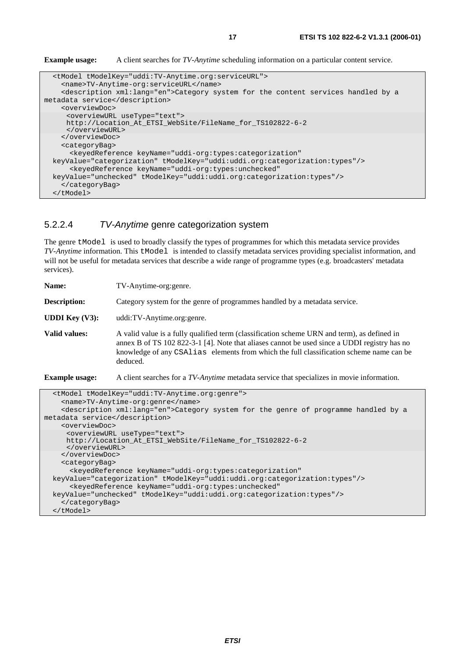**Example usage:** A client searches for *TV-Anytime* scheduling information on a particular content service.

```
 <tModel tModelKey="uddi:TV-Anytime.org:serviceURL"> 
     <name>TV-Anytime-org:serviceURL</name> 
     <description xml:lang="en">Category system for the content services handled by a 
metadata service</description> 
     <overviewDoc> 
      <overviewURL useType="text"> 
      http://Location_At_ETSI_WebSite/FileName_for_TS102822-6-2 
      </overviewURL> 
     </overviewDoc> 
     <categoryBag> 
       <keyedReference keyName="uddi-org:types:categorization" 
  keyValue="categorization" tModelKey="uddi:uddi.org:categorization:types"/> 
       <keyedReference keyName="uddi-org:types:unchecked" 
   keyValue="unchecked" tModelKey="uddi:uddi.org:categorization:types"/> 
     </categoryBag> 
   </tModel>
```
#### 5.2.2.4 TV-Anytime genre categorization system

The genre tModel is used to broadly classify the types of programmes for which this metadata service provides *TV-Anytime* information. This tModel is intended to classify metadata services providing specialist information, and will not be useful for metadata services that describe a wide range of programme types (e.g. broadcasters' metadata services).

**Name:** TV-Anytime-org:genre.

**Description:** Category system for the genre of programmes handled by a metadata service.

**UDDI Key (V3):** uddi:TV-Anytime.org:genre.

**Valid values:** A valid value is a fully qualified term (classification scheme URN and term), as defined in annex B of TS 102 822-3-1 [4]. Note that aliases cannot be used since a UDDI registry has no knowledge of any CSAlias elements from which the full classification scheme name can be deduced.

**Example usage:** A client searches for a *TV-Anytime* metadata service that specializes in movie information.

```
 <tModel tModelKey="uddi:TV-Anytime.org:genre"> 
     <name>TV-Anytime-org:genre</name> 
     <description xml:lang="en">Category system for the genre of programme handled by a 
metadata service</description> 
     <overviewDoc> 
      <overviewURL useType="text"> 
      http://Location_At_ETSI_WebSite/FileName_for_TS102822-6-2 
      </overviewURL> 
     </overviewDoc> 
     <categoryBag> 
       <keyedReference keyName="uddi-org:types:categorization" 
   keyValue="categorization" tModelKey="uddi:uddi.org:categorization:types"/> 
       <keyedReference keyName="uddi-org:types:unchecked" 
  keyValue="unchecked" tModelKey="uddi:uddi.org:categorization:types"/> 
     </categoryBag> 
   </tModel>
```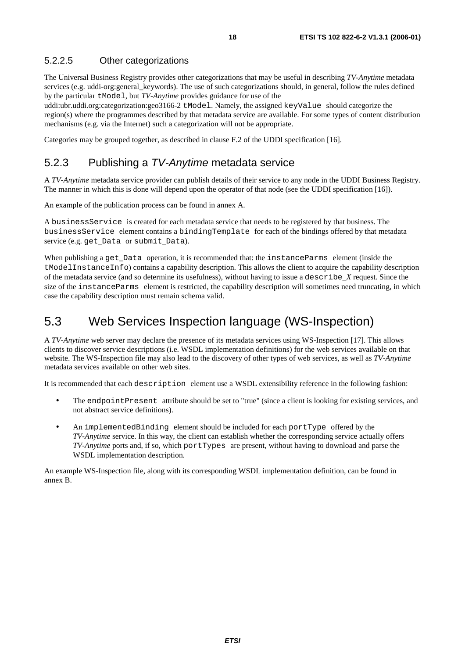#### 5.2.2.5 Other categorizations

The Universal Business Registry provides other categorizations that may be useful in describing *TV-Anytime* metadata services (e.g. uddi-org:general keywords). The use of such categorizations should, in general, follow the rules defined by the particular tModel, but *TV-Anytime* provides guidance for use of the

uddi:ubr.uddi.org:categorization:geo3166-2 tModel. Namely, the assigned keyValue should categorize the region(s) where the programmes described by that metadata service are available. For some types of content distribution mechanisms (e.g. via the Internet) such a categorization will not be appropriate.

Categories may be grouped together, as described in clause F.2 of the UDDI specification [16].

### 5.2.3 Publishing a TV-Anytime metadata service

A *TV-Anytime* metadata service provider can publish details of their service to any node in the UDDI Business Registry. The manner in which this is done will depend upon the operator of that node (see the UDDI specification [16]).

An example of the publication process can be found in annex A.

A businessService is created for each metadata service that needs to be registered by that business. The businessService element contains a bindingTemplate for each of the bindings offered by that metadata service (e.g. get*\_*Data or submit*\_*Data).

When publishing a get\_Data operation, it is recommended that: the instanceParms element (inside the tModelInstanceInfo) contains a capability description. This allows the client to acquire the capability description of the metadata service (and so determine its usefulness), without having to issue a describe\_*X* request. Since the size of the instanceParms element is restricted, the capability description will sometimes need truncating, in which case the capability description must remain schema valid.

### 5.3 Web Services Inspection language (WS-Inspection)

A *TV-Anytime* web server may declare the presence of its metadata services using WS-Inspection [17]. This allows clients to discover service descriptions (i.e. WSDL implementation definitions) for the web services available on that website. The WS-Inspection file may also lead to the discovery of other types of web services, as well as *TV-Anytime* metadata services available on other web sites.

It is recommended that each description element use a WSDL extensibility reference in the following fashion:

- The endpointPresent attribute should be set to "true" (since a client is looking for existing services, and not abstract service definitions).
- An implementedBinding element should be included for each portType offered by the *TV-Anytime* service. In this way, the client can establish whether the corresponding service actually offers *TV-Anytime* ports and, if so, which portTypes are present, without having to download and parse the WSDL implementation description.

An example WS-Inspection file, along with its corresponding WSDL implementation definition, can be found in annex B.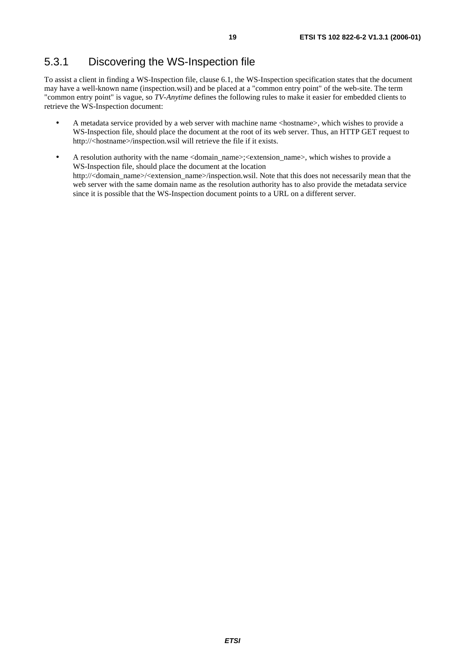### 5.3.1 Discovering the WS-Inspection file

To assist a client in finding a WS-Inspection file, clause 6.1, the WS-Inspection specification states that the document may have a well-known name (inspection.wsil) and be placed at a "common entry point" of the web-site. The term "common entry point" is vague, so *TV-Anytime* defines the following rules to make it easier for embedded clients to retrieve the WS-Inspection document:

- A metadata service provided by a web server with machine name <hostname>, which wishes to provide a WS-Inspection file, should place the document at the root of its web server. Thus, an HTTP GET request to http://<hostname>/inspection.wsil will retrieve the file if it exists.
- A resolution authority with the name <domain name>;<extension name>, which wishes to provide a WS-Inspection file, should place the document at the location http://<domain\_name>/<extension\_name>/inspection.wsil. Note that this does not necessarily mean that the web server with the same domain name as the resolution authority has to also provide the metadata service since it is possible that the WS-Inspection document points to a URL on a different server.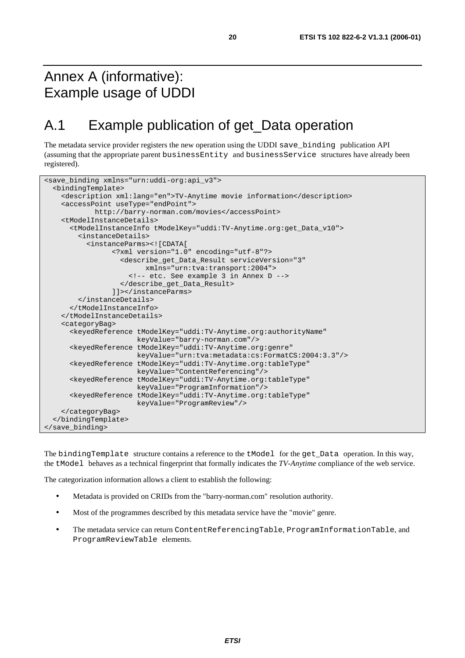# Annex A (informative): Example usage of UDDI

# A.1 Example publication of get\_Data operation

The metadata service provider registers the new operation using the UDDI save\_binding publication API (assuming that the appropriate parent businessEntity and businessService structures have already been registered).

```
<save_binding xmlns="urn:uddi-org:api_v3"> 
   <bindingTemplate> 
     <description xml:lang="en">TV-Anytime movie information</description> 
     <accessPoint useType="endPoint"> 
             http://barry-norman.com/movies</accessPoint> 
     <tModelInstanceDetails> 
       <tModelInstanceInfo tModelKey="uddi:TV-Anytime.org:get_Data_v10"> 
         <instanceDetails> 
           <instanceParms><![CDATA[ 
                  <?xml version="1.0" encoding="utf-8"?> 
                    <describe_get_Data_Result serviceVersion="3" 
                          xmlns="urn:tva:transport:2004"> 
                      <!-- etc. See example 3 in Annex D --> 
                    </describe_get_Data_Result> 
                  ]]></instanceParms> 
         </instanceDetails> 
       </tModelInstanceInfo> 
     </tModelInstanceDetails> 
     <categoryBag> 
       <keyedReference tModelKey="uddi:TV-Anytime.org:authorityName" 
                        keyValue="barry-norman.com"/> 
       <keyedReference tModelKey="uddi:TV-Anytime.org:genre" 
                        keyValue="urn:tva:metadata:cs:FormatCS:2004:3.3"/> 
       <keyedReference tModelKey="uddi:TV-Anytime.org:tableType" 
                        keyValue="ContentReferencing"/> 
       <keyedReference tModelKey="uddi:TV-Anytime.org:tableType" 
                        keyValue="ProgramInformation"/> 
       <keyedReference tModelKey="uddi:TV-Anytime.org:tableType" 
                        keyValue="ProgramReview"/> 
     </categoryBag> 
   </bindingTemplate> 
</save_binding>
```
The bindingTemplate structure contains a reference to the tModel for the get\_Data operation. In this way, the tModel behaves as a technical fingerprint that formally indicates the *TV-Anytime* compliance of the web service.

The categorization information allows a client to establish the following:

- Metadata is provided on CRIDs from the "barry-norman.com" resolution authority.
- Most of the programmes described by this metadata service have the "movie" genre.
- The metadata service can return ContentReferencingTable, ProgramInformationTable, and ProgramReviewTable elements.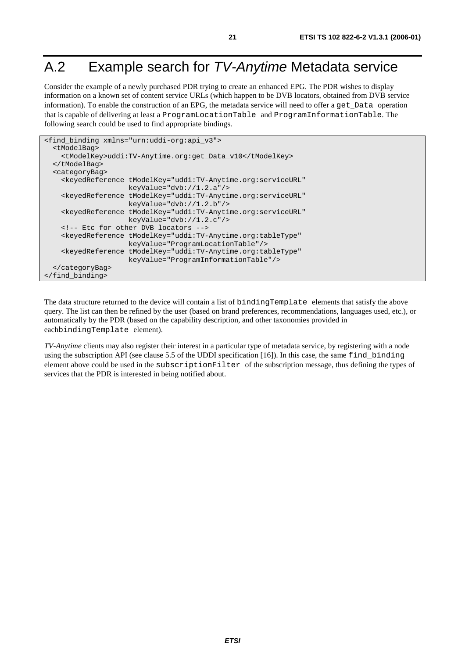# A.2 Example search for TV-Anytime Metadata service

Consider the example of a newly purchased PDR trying to create an enhanced EPG. The PDR wishes to display information on a known set of content service URLs (which happen to be DVB locators, obtained from DVB service information). To enable the construction of an EPG, the metadata service will need to offer a get\_Data operation that is capable of delivering at least a ProgramLocationTable and ProgramInformationTable. The following search could be used to find appropriate bindings.

```
<find_binding xmlns="urn:uddi-org:api_v3"> 
   <tModelBag> 
     <tModelKey>uddi:TV-Anytime.org:get_Data_v10</tModelKey> 
   </tModelBag> 
   <categoryBag> 
     <keyedReference tModelKey="uddi:TV-Anytime.org:serviceURL" 
                      keyValue="dvb://1.2.a"/> 
     <keyedReference tModelKey="uddi:TV-Anytime.org:serviceURL" 
                     keyValue="dvb://1.2.b"/> 
     <keyedReference tModelKey="uddi:TV-Anytime.org:serviceURL" 
                      keyValue="dvb://1.2.c"/> 
     <!-- Etc for other DVB locators --> 
     <keyedReference tModelKey="uddi:TV-Anytime.org:tableType" 
                      keyValue="ProgramLocationTable"/> 
     <keyedReference tModelKey="uddi:TV-Anytime.org:tableType" 
                      keyValue="ProgramInformationTable"/> 
   </categoryBag> 
</find_binding>
```
The data structure returned to the device will contain a list of bindingTemplate elements that satisfy the above query. The list can then be refined by the user (based on brand preferences, recommendations, languages used, etc.), or automatically by the PDR (based on the capability description, and other taxonomies provided in eachbindingTemplate element).

*TV-Anytime* clients may also register their interest in a particular type of metadata service, by registering with a node using the subscription API (see clause 5.5 of the UDDI specification [16]). In this case, the same find\_binding element above could be used in the subscriptionFilter of the subscription message, thus defining the types of services that the PDR is interested in being notified about.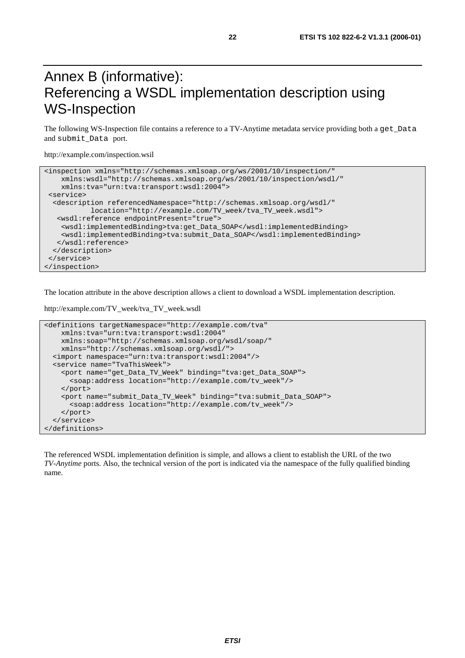# Annex B (informative): Referencing a WSDL implementation description using WS-Inspection

The following WS-Inspection file contains a reference to a TV-Anytime metadata service providing both a get\_Data and submit\_Data port.

http://example.com/inspection.wsil

```
<inspection xmlns="http://schemas.xmlsoap.org/ws/2001/10/inspection/" 
    xmlns:wsdl="http://schemas.xmlsoap.org/ws/2001/10/inspection/wsdl/" 
    xmlns:tva="urn:tva:transport:wsdl:2004"> 
 <service> 
  <description referencedNamespace="http://schemas.xmlsoap.org/wsdl/" 
            location="http://example.com/TV_week/tva_TV_week.wsdl"> 
   <wsdl:reference endpointPresent="true"> 
    <wsdl:implementedBinding>tva:get_Data_SOAP</wsdl:implementedBinding> 
    <wsdl:implementedBinding>tva:submit_Data_SOAP</wsdl:implementedBinding> 
   </wsdl:reference> 
  </description> 
 </service> 
</inspection>
```
The location attribute in the above description allows a client to download a WSDL implementation description.

```
http://example.com/TV_week/tva_TV_week.wsdl
```

```
<definitions targetNamespace="http://example.com/tva" 
     xmlns:tva="urn:tva:transport:wsdl:2004" 
     xmlns:soap="http://schemas.xmlsoap.org/wsdl/soap/" 
    xmlns="http://schemas.xmlsoap.org/wsdl/"> 
   <import namespace="urn:tva:transport:wsdl:2004"/> 
   <service name="TvaThisWeek"> 
     <port name="get_Data_TV_Week" binding="tva:get_Data_SOAP"> 
       <soap:address location="http://example.com/tv_week"/> 
     </port> 
     <port name="submit_Data_TV_Week" binding="tva:submit_Data_SOAP"> 
       <soap:address location="http://example.com/tv_week"/> 
     </port> 
   </service> 
</definitions>
```
The referenced WSDL implementation definition is simple, and allows a client to establish the URL of the two *TV-Anytime* ports. Also, the technical version of the port is indicated via the namespace of the fully qualified binding name.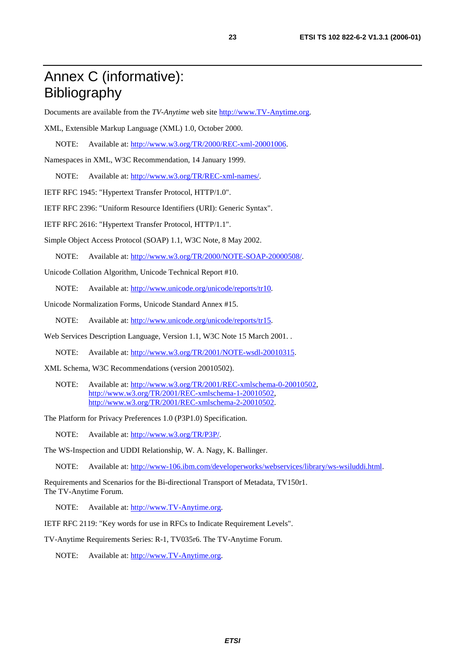# Annex C (informative): Bibliography

Documents are available from the *TV-Anytime* web site [http://www.TV-Anytime.org.](http://www.tv-anytime.org/)

XML, Extensible Markup Language (XML) 1.0, October 2000.

NOTE: Available at: [http://www.w3.org/TR/2000/REC-xml-20001006.](http://www.w3.org/TR/2000/REC-xml-20001006)

Namespaces in XML, W3C Recommendation, 14 January 1999.

NOTE: Available at: [http://www.w3.org/TR/REC-xml-names/.](http://www.w3.org/TR/REC-xml-names/)

IETF RFC 1945: "Hypertext Transfer Protocol, HTTP/1.0".

IETF RFC 2396: "Uniform Resource Identifiers (URI): Generic Syntax".

IETF RFC 2616: "Hypertext Transfer Protocol, HTTP/1.1".

Simple Object Access Protocol (SOAP) 1.1, W3C Note, 8 May 2002.

NOTE: Available at: [http://www.w3.org/TR/2000/NOTE-SOAP-20000508/.](http://www.w3.org/TR/2000/NOTE-SOAP-20000508/)

Unicode Collation Algorithm, Unicode Technical Report #10.

NOTE: Available at: [http://www.unicode.org/unicode/reports/tr10.](http://www.unicode.org/unicode/reports/tr10)

Unicode Normalization Forms, Unicode Standard Annex #15.

NOTE: Available at: [http://www.unicode.org/unicode/reports/tr15.](http://www.unicode.org/unicode/reports/tr15)

Web Services Description Language, Version 1.1, W3C Note 15 March 2001. .

NOTE: Available at: [http://www.w3.org/TR/2001/NOTE-wsdl-20010315.](http://www.w3.org/TR/2001/NOTE-wsdl-20010315)

XML Schema, W3C Recommendations (version 20010502).

NOTE: Available at: <http://www.w3.org/TR/2001/REC-xmlschema-0-20010502>, <http://www.w3.org/TR/2001/REC-xmlschema-1-20010502>, [http://www.w3.org/TR/2001/REC-xmlschema-2-20010502](http://www.w3.org/XML/Schema).

The Platform for Privacy Preferences 1.0 (P3P1.0) Specification.

NOTE: Available at: [http://www.w3.org/TR/P3P/.](http://www.w3.org/TR/P3P/)

The WS-Inspection and UDDI Relationship, W. A. Nagy, K. Ballinger.

NOTE: Available at: [http://www-106.ibm.com/developerworks/webservices/library/ws-wsiluddi.html.](http://www-106.ibm.com/developerworks/webservices/library/ws-wsiluddi.html)

Requirements and Scenarios for the Bi-directional Transport of Metadata, TV150r1. The TV-Anytime Forum.

NOTE: Available at: [http://www.TV-Anytime.org.](http://www.tv-anytime.org/)

IETF RFC 2119: "Key words for use in RFCs to Indicate Requirement Levels".

TV-Anytime Requirements Series: R-1, TV035r6. The TV-Anytime Forum.

NOTE: Available at: [http://www.TV-Anytime.org.](http://www.tv-anytime.org/)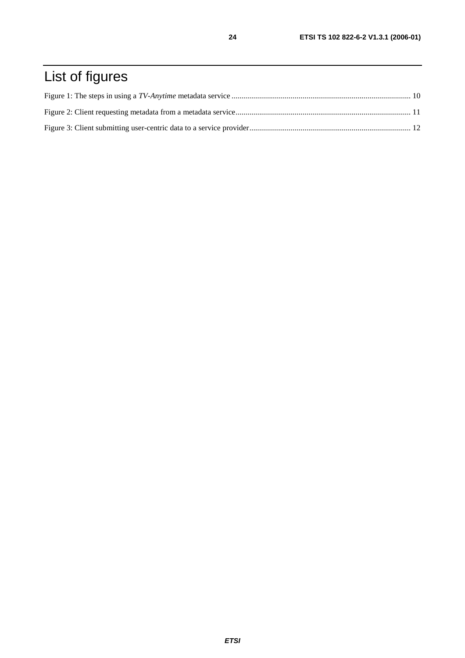# List of figures